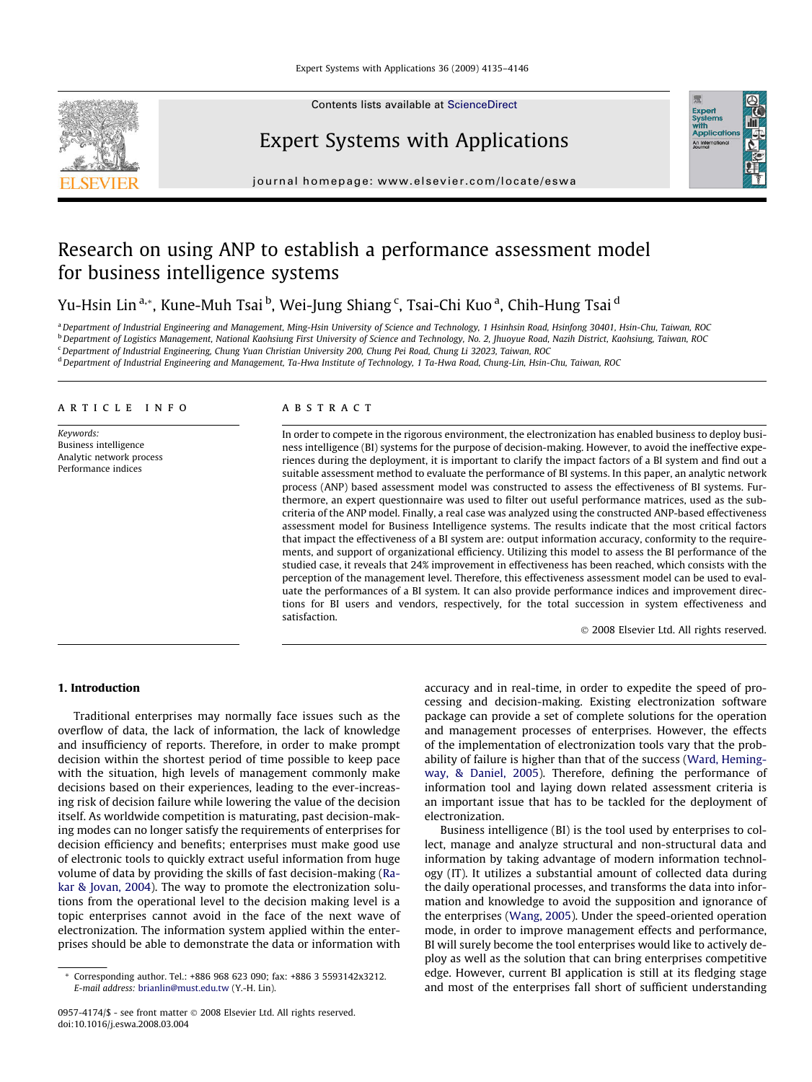

Contents lists available at [ScienceDirect](http://www.sciencedirect.com/science/journal/09574174)

### Expert Systems with Applications



journal homepage: [www.elsevier.com/locate/eswa](http://www.elsevier.com/locate/eswa)

## Research on using ANP to establish a performance assessment model for business intelligence systems

Yu-Hsin Lin <sup>a,</sup>\*, Kune-Muh Tsai <sup>b</sup>, Wei-Jung Shiang <sup>c</sup>, Tsai-Chi Kuo <sup>a</sup>, Chih-Hung Tsai <sup>d</sup>

aDepartment of Industrial Engineering and Management, Ming-Hsin University of Science and Technology, 1 Hsinhsin Road, Hsinfong 30401, Hsin-Chu, Taiwan, ROC b Department of Logistics Management, National Kaohsiung First University of Science and Technology, No. 2, Jhuoyue Road, Nazih District, Kaohsiung, Taiwan, ROC <sup>c</sup> Department of Industrial Engineering, Chung Yuan Christian University 200, Chung Pei Road, Chung Li 32023, Taiwan, ROC <sup>d</sup> Department of Industrial Engineering and Management, Ta-Hwa Institute of Technology, 1 Ta-Hwa Road, Chung-Lin, Hsin-Chu, Taiwan, ROC

#### article info

Keywords: Business intelligence Analytic network process Performance indices

#### ABSTRACT

In order to compete in the rigorous environment, the electronization has enabled business to deploy business intelligence (BI) systems for the purpose of decision-making. However, to avoid the ineffective experiences during the deployment, it is important to clarify the impact factors of a BI system and find out a suitable assessment method to evaluate the performance of BI systems. In this paper, an analytic network process (ANP) based assessment model was constructed to assess the effectiveness of BI systems. Furthermore, an expert questionnaire was used to filter out useful performance matrices, used as the subcriteria of the ANP model. Finally, a real case was analyzed using the constructed ANP-based effectiveness assessment model for Business Intelligence systems. The results indicate that the most critical factors that impact the effectiveness of a BI system are: output information accuracy, conformity to the requirements, and support of organizational efficiency. Utilizing this model to assess the BI performance of the studied case, it reveals that 24% improvement in effectiveness has been reached, which consists with the perception of the management level. Therefore, this effectiveness assessment model can be used to evaluate the performances of a BI system. It can also provide performance indices and improvement directions for BI users and vendors, respectively, for the total succession in system effectiveness and satisfaction.

- 2008 Elsevier Ltd. All rights reserved.

#### 1. Introduction

Traditional enterprises may normally face issues such as the overflow of data, the lack of information, the lack of knowledge and insufficiency of reports. Therefore, in order to make prompt decision within the shortest period of time possible to keep pace with the situation, high levels of management commonly make decisions based on their experiences, leading to the ever-increasing risk of decision failure while lowering the value of the decision itself. As worldwide competition is maturating, past decision-making modes can no longer satisfy the requirements of enterprises for decision efficiency and benefits; enterprises must make good use of electronic tools to quickly extract useful information from huge volume of data by providing the skills of fast decision-making ([Ra](#page--1-0)[kar & Jovan, 2004\)](#page--1-0). The way to promote the electronization solutions from the operational level to the decision making level is a topic enterprises cannot avoid in the face of the next wave of electronization. The information system applied within the enterprises should be able to demonstrate the data or information with

accuracy and in real-time, in order to expedite the speed of processing and decision-making. Existing electronization software package can provide a set of complete solutions for the operation and management processes of enterprises. However, the effects of the implementation of electronization tools vary that the probability of failure is higher than that of the success [\(Ward, Heming](#page--1-0)[way, & Daniel, 2005](#page--1-0)). Therefore, defining the performance of information tool and laying down related assessment criteria is an important issue that has to be tackled for the deployment of electronization.

Business intelligence (BI) is the tool used by enterprises to collect, manage and analyze structural and non-structural data and information by taking advantage of modern information technology (IT). It utilizes a substantial amount of collected data during the daily operational processes, and transforms the data into information and knowledge to avoid the supposition and ignorance of the enterprises ([Wang, 2005](#page--1-0)). Under the speed-oriented operation mode, in order to improve management effects and performance, BI will surely become the tool enterprises would like to actively deploy as well as the solution that can bring enterprises competitive edge. However, current BI application is still at its fledging stage and most of the enterprises fall short of sufficient understanding

Corresponding author. Tel.: +886 968 623 090; fax: +886 3 5593142x3212. E-mail address: [brianlin@must.edu.tw](mailto:brianlin@must.edu.tw) (Y.-H. Lin).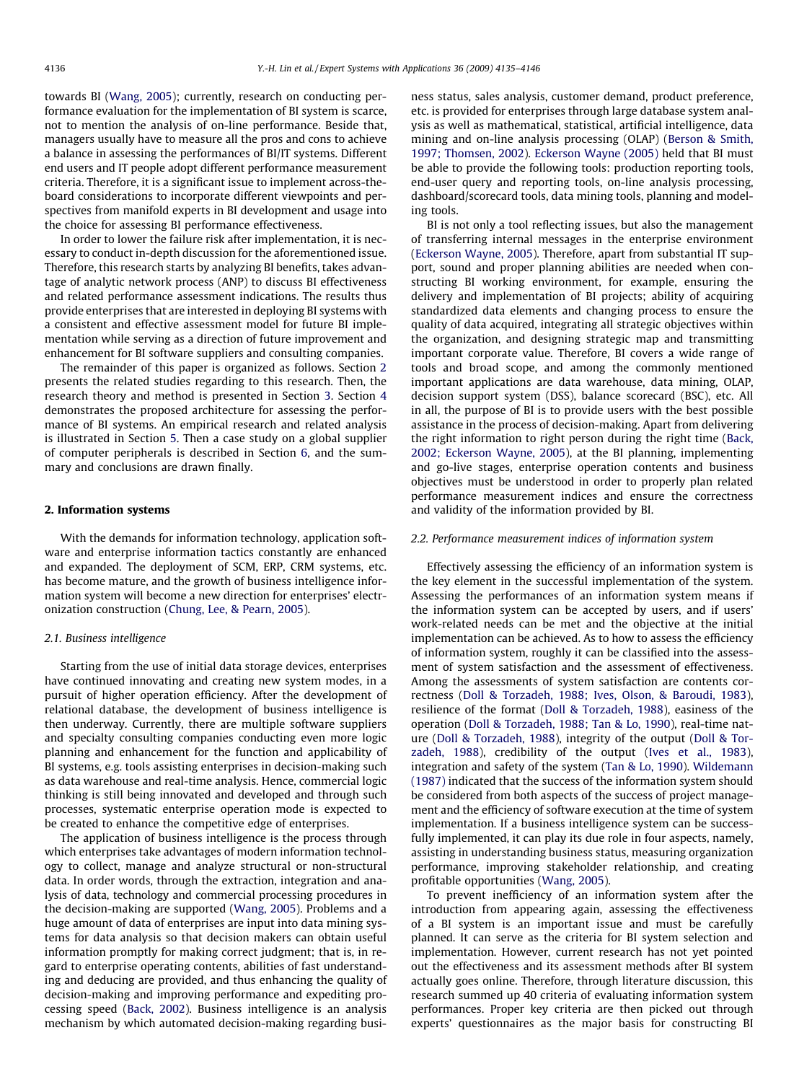towards BI [\(Wang, 2005](#page--1-0)); currently, research on conducting performance evaluation for the implementation of BI system is scarce, not to mention the analysis of on-line performance. Beside that, managers usually have to measure all the pros and cons to achieve a balance in assessing the performances of BI/IT systems. Different end users and IT people adopt different performance measurement criteria. Therefore, it is a significant issue to implement across-theboard considerations to incorporate different viewpoints and perspectives from manifold experts in BI development and usage into the choice for assessing BI performance effectiveness.

In order to lower the failure risk after implementation, it is necessary to conduct in-depth discussion for the aforementioned issue. Therefore, this research starts by analyzing BI benefits, takes advantage of analytic network process (ANP) to discuss BI effectiveness and related performance assessment indications. The results thus provide enterprises that are interested in deploying BI systems with a consistent and effective assessment model for future BI implementation while serving as a direction of future improvement and enhancement for BI software suppliers and consulting companies.

The remainder of this paper is organized as follows. Section 2 presents the related studies regarding to this research. Then, the research theory and method is presented in Section [3.](#page--1-0) Section [4](#page--1-0) demonstrates the proposed architecture for assessing the performance of BI systems. An empirical research and related analysis is illustrated in Section [5.](#page--1-0) Then a case study on a global supplier of computer peripherals is described in Section [6,](#page--1-0) and the summary and conclusions are drawn finally.

#### 2. Information systems

With the demands for information technology, application software and enterprise information tactics constantly are enhanced and expanded. The deployment of SCM, ERP, CRM systems, etc. has become mature, and the growth of business intelligence information system will become a new direction for enterprises' electronization construction ([Chung, Lee, & Pearn, 2005\)](#page--1-0).

#### 2.1. Business intelligence

Starting from the use of initial data storage devices, enterprises have continued innovating and creating new system modes, in a pursuit of higher operation efficiency. After the development of relational database, the development of business intelligence is then underway. Currently, there are multiple software suppliers and specialty consulting companies conducting even more logic planning and enhancement for the function and applicability of BI systems, e.g. tools assisting enterprises in decision-making such as data warehouse and real-time analysis. Hence, commercial logic thinking is still being innovated and developed and through such processes, systematic enterprise operation mode is expected to be created to enhance the competitive edge of enterprises.

The application of business intelligence is the process through which enterprises take advantages of modern information technology to collect, manage and analyze structural or non-structural data. In order words, through the extraction, integration and analysis of data, technology and commercial processing procedures in the decision-making are supported ([Wang, 2005](#page--1-0)). Problems and a huge amount of data of enterprises are input into data mining systems for data analysis so that decision makers can obtain useful information promptly for making correct judgment; that is, in regard to enterprise operating contents, abilities of fast understanding and deducing are provided, and thus enhancing the quality of decision-making and improving performance and expediting processing speed [\(Back, 2002\)](#page--1-0). Business intelligence is an analysis mechanism by which automated decision-making regarding business status, sales analysis, customer demand, product preference, etc. is provided for enterprises through large database system analysis as well as mathematical, statistical, artificial intelligence, data mining and on-line analysis processing (OLAP) [\(Berson & Smith,](#page--1-0) [1997; Thomsen, 2002\)](#page--1-0). [Eckerson Wayne \(2005\)](#page--1-0) held that BI must be able to provide the following tools: production reporting tools, end-user query and reporting tools, on-line analysis processing, dashboard/scorecard tools, data mining tools, planning and modeling tools.

BI is not only a tool reflecting issues, but also the management of transferring internal messages in the enterprise environment ([Eckerson Wayne, 2005\)](#page--1-0). Therefore, apart from substantial IT support, sound and proper planning abilities are needed when constructing BI working environment, for example, ensuring the delivery and implementation of BI projects; ability of acquiring standardized data elements and changing process to ensure the quality of data acquired, integrating all strategic objectives within the organization, and designing strategic map and transmitting important corporate value. Therefore, BI covers a wide range of tools and broad scope, and among the commonly mentioned important applications are data warehouse, data mining, OLAP, decision support system (DSS), balance scorecard (BSC), etc. All in all, the purpose of BI is to provide users with the best possible assistance in the process of decision-making. Apart from delivering the right information to right person during the right time [\(Back,](#page--1-0) [2002; Eckerson Wayne, 2005\)](#page--1-0), at the BI planning, implementing and go-live stages, enterprise operation contents and business objectives must be understood in order to properly plan related performance measurement indices and ensure the correctness and validity of the information provided by BI.

#### 2.2. Performance measurement indices of information system

Effectively assessing the efficiency of an information system is the key element in the successful implementation of the system. Assessing the performances of an information system means if the information system can be accepted by users, and if users' work-related needs can be met and the objective at the initial implementation can be achieved. As to how to assess the efficiency of information system, roughly it can be classified into the assessment of system satisfaction and the assessment of effectiveness. Among the assessments of system satisfaction are contents correctness ([Doll & Torzadeh, 1988; Ives, Olson, & Baroudi, 1983\)](#page--1-0), resilience of the format ([Doll & Torzadeh, 1988\)](#page--1-0), easiness of the operation ([Doll & Torzadeh, 1988; Tan & Lo, 1990\)](#page--1-0), real-time nature ([Doll & Torzadeh, 1988](#page--1-0)), integrity of the output [\(Doll & Tor](#page--1-0)[zadeh, 1988\)](#page--1-0), credibility of the output [\(Ives et al., 1983\)](#page--1-0), integration and safety of the system [\(Tan & Lo, 1990](#page--1-0)). [Wildemann](#page--1-0) [\(1987\)](#page--1-0) indicated that the success of the information system should be considered from both aspects of the success of project management and the efficiency of software execution at the time of system implementation. If a business intelligence system can be successfully implemented, it can play its due role in four aspects, namely, assisting in understanding business status, measuring organization performance, improving stakeholder relationship, and creating profitable opportunities ([Wang, 2005](#page--1-0)).

To prevent inefficiency of an information system after the introduction from appearing again, assessing the effectiveness of a BI system is an important issue and must be carefully planned. It can serve as the criteria for BI system selection and implementation. However, current research has not yet pointed out the effectiveness and its assessment methods after BI system actually goes online. Therefore, through literature discussion, this research summed up 40 criteria of evaluating information system performances. Proper key criteria are then picked out through experts' questionnaires as the major basis for constructing BI